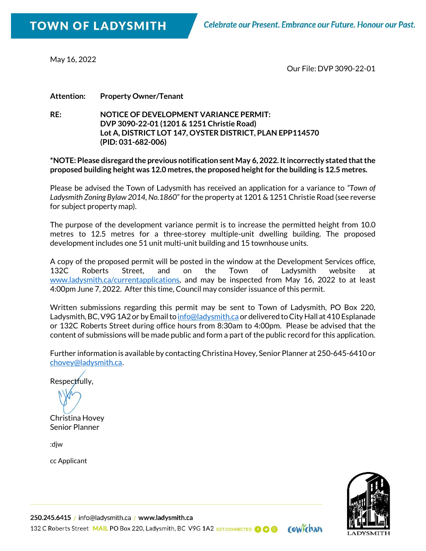May 16, 2022

Our File: DVP 3090-22-01

**Attention: Property Owner/Tenant**

**RE: NOTICE OF DEVELOPMENT VARIANCE PERMIT: DVP 3090-22-01 (1201 & 1251 Christie Road) Lot A, DISTRICT LOT 147, OYSTER DISTRICT, PLAN EPP114570 (PID: 031-682-006)**

**\*NOTE: Please disregard the previous notification sent May 6, 2022. It incorrectly stated that the proposed building height was 12.0 metres, the proposed height for the building is 12.5 metres.** 

Please be advised the Town of Ladysmith has received an application for a variance to *"Town of Ladysmith Zoning Bylaw 2014, No.1860*" for the property at 1201 & 1251 Christie Road (see reverse for subject property map).

The purpose of the development variance permit is to increase the permitted height from 10.0 metres to 12.5 metres for a three-storey multiple-unit dwelling building. The proposed development includes one 51 unit multi-unit building and 15 townhouse units.

A copy of the proposed permit will be posted in the window at the Development Services office, 132C Roberts Street, and on the Town of Ladysmith website at [www.ladysmith.ca/currentapplications,](http://www.ladysmith.ca/currentapplications) and may be inspected from May 16, 2022 to at least 4:00pm June 7, 2022. After this time, Council may consider issuance of this permit.

Written submissions regarding this permit may be sent to Town of Ladysmith, PO Box 220, Ladysmith, BC, V9G 1A2 or by Email t[o info@ladysmith.ca](mailto:info@ladysmith.ca) or delivered to City Hall at 410 Esplanade or 132C Roberts Street during office hours from 8:30am to 4:00pm. Please be advised that the content of submissions will be made public and form a part of the public record for this application.

Further information is available by contacting Christina Hovey, Senior Planner at 250-645-6410 or [chovey@ladysmith.ca](mailto:chovey@ladysmith.ca).

Respectfully,

Christina Hovey Senior Planner

:djw

cc Applicant